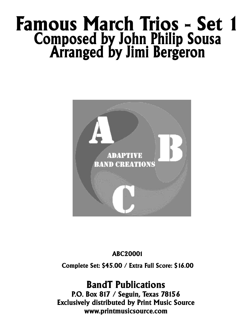# **Famous March Trios - Set 1 Composed by John Philip Sousa Arranged by Jimi Bergeron**



# **ABC20001**

**Complete Set: \$45.00 / Extra Full Score: \$16.00**

# **BandT Publications**

**P.O. Box 817 / Seguin, Texas 78156 Exclusively distributed by Print Music Source www.printmusicsource.com**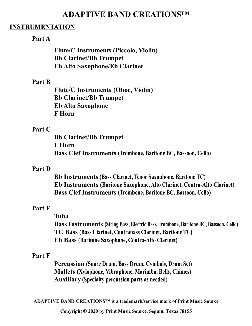## **ADAPTIVE BAND CREATIONS™**

#### **INSTRUMENTATION**

#### **Part A**

 **Flute/C Instruments (Piccolo, Violin) Bb Clarinet/Bb Trumpet Eb Alto Saxophone/Eb Clarinet**

#### **Part B**

 **Flute/C Instruments (Oboe, Violin) Bb Clarinet/Bb Trumpet Eb Alto Saxophone F Horn**

#### **Part C**

 **Bb Clarinet/Bb Trumpet F Horn Bass Clef Instruments (Trombone, Baritone BC, Bassoon, Cello)**

#### **Part D**

 **Bb Instruments (Bass Clarinet, Tenor Saxophone, Baritone TC) Eb Instruments (Baritone Saxophone, Alto Clarinet, Contra-Alto Clarinet) Bass Clef Instruments (Trombone, Baritone BC, Bassoon, Cello)**

#### **Part E**

#### **Tuba**

 **Bass Instruments (String Bass, Electric Bass, Trombone, Baritone BC, Bassoon, Cello) TC Bass (Bass Clarinet, Contrabass Clarinet, Baritone TC) Eb Bass (Baritone Saxophone, Contra-Alto Clarinet)**

#### **Part F**

 **Percussion (Snare Drum, Bass Drum, Cymbals, Drum Set) Mallets (Xylophone, Vibraphone, Marimba, Bells, Chimes) Auxiliary (Specialty percussion parts as needed)**

**ADAPTIVE BAND CREATIONS™ is a trademark/service mark of Print Music Source**

**Copyright © 2020 by Print Music Source. Seguin, Texas 78155**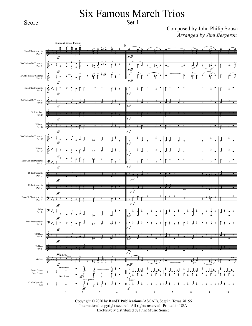Score

#### Composed by John Philip Sousa Arranged by Jimi Bergeron



Copyright © 2020 by BandT Publications (ASCAP), Seguin, Texas 78156 International copyright secured All rights reserved Printed in USA Exclusively distributed by Print Music Source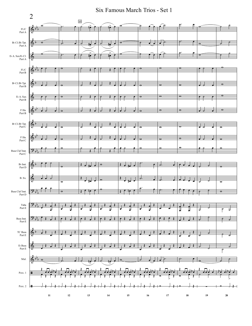Six Famous March Trios - Set 1

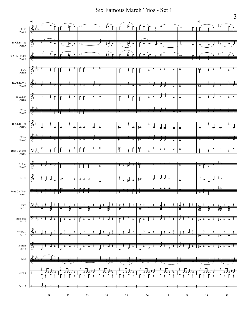Six Famous March Trios - Set 1

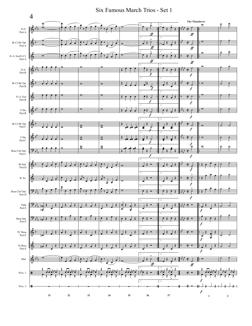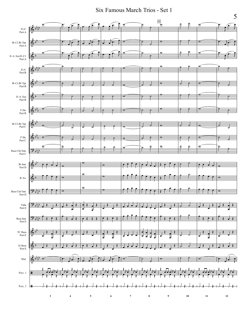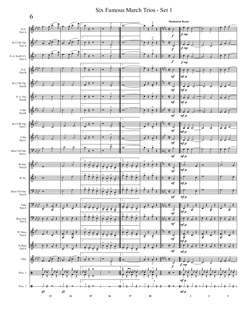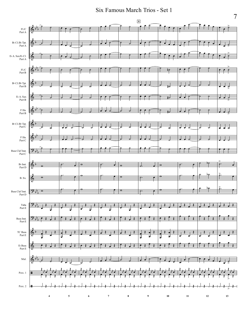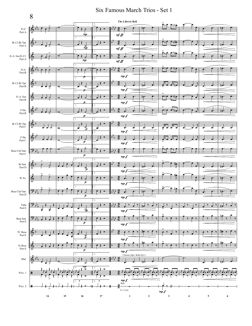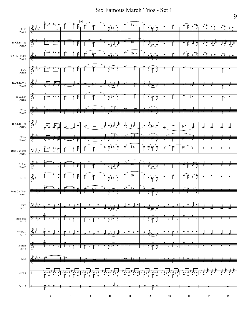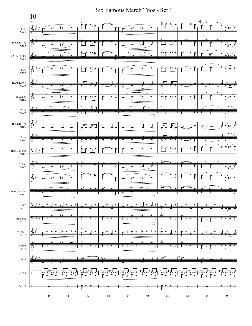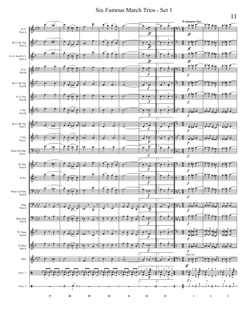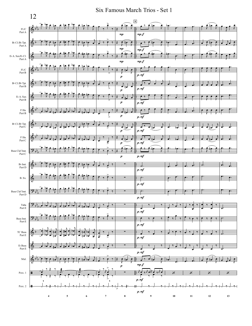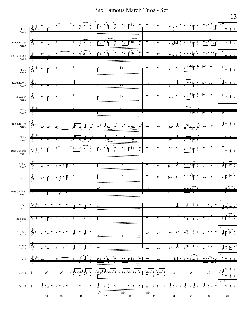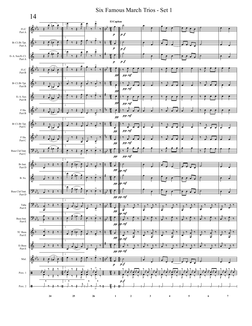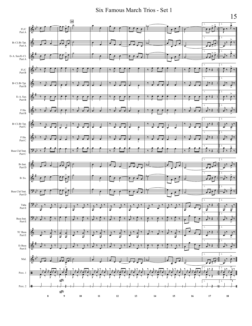